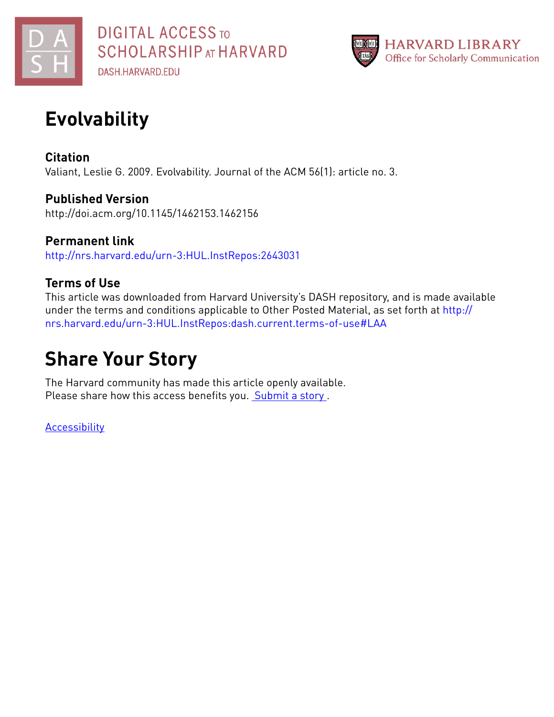



# **Evolvability**

**Citation** Valiant, Leslie G. 2009. Evolvability. Journal of the ACM 56(1): article no. 3.

**Published Version** http://doi.acm.org/10.1145/1462153.1462156

**Permanent link** <http://nrs.harvard.edu/urn-3:HUL.InstRepos:2643031>

# **Terms of Use**

This article was downloaded from Harvard University's DASH repository, and is made available under the terms and conditions applicable to Other Posted Material, as set forth at [http://](http://nrs.harvard.edu/urn-3:HUL.InstRepos:dash.current.terms-of-use#LAA) [nrs.harvard.edu/urn-3:HUL.InstRepos:dash.current.terms-of-use#LAA](http://nrs.harvard.edu/urn-3:HUL.InstRepos:dash.current.terms-of-use#LAA)

# **Share Your Story**

The Harvard community has made this article openly available. Please share how this access benefits you. [Submit](http://osc.hul.harvard.edu/dash/open-access-feedback?handle=&title=Evolvability&community=1/1&collection=1/2&owningCollection1/2&harvardAuthors=466b2f0fa42147fd9e0921c849b906dc&departmentEngineering%20and%20Applied%20Sciences) a story.

**[Accessibility](https://dash.harvard.edu/pages/accessibility)**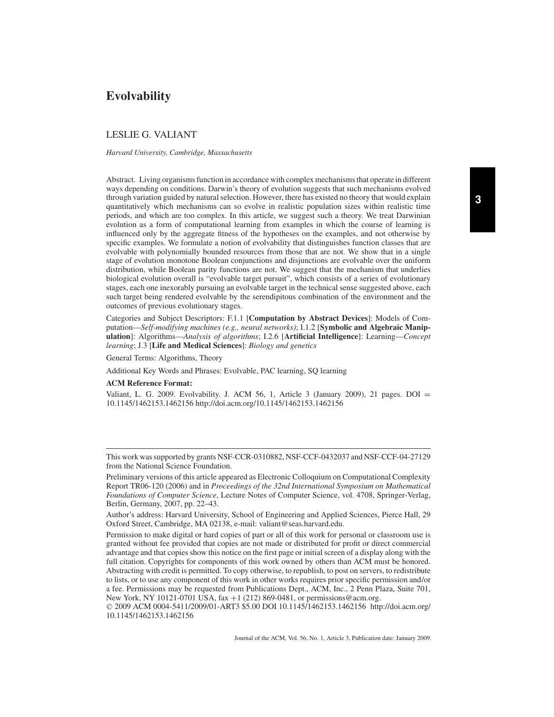# **Evolvability**

### LESLIE G. VALIANT

#### *Harvard University, Cambridge, Massachusetts*

Abstract. Living organisms function in accordance with complex mechanisms that operate in different ways depending on conditions. Darwin's theory of evolution suggests that such mechanisms evolved through variation guided by natural selection. However, there has existed no theory that would explain quantitatively which mechanisms can so evolve in realistic population sizes within realistic time periods, and which are too complex. In this article, we suggest such a theory. We treat Darwinian evolution as a form of computational learning from examples in which the course of learning is influenced only by the aggregate fitness of the hypotheses on the examples, and not otherwise by specific examples. We formulate a notion of evolvability that distinguishes function classes that are evolvable with polynomially bounded resources from those that are not. We show that in a single stage of evolution monotone Boolean conjunctions and disjunctions are evolvable over the uniform distribution, while Boolean parity functions are not. We suggest that the mechanism that underlies biological evolution overall is "evolvable target pursuit", which consists of a series of evolutionary stages, each one inexorably pursuing an evolvable target in the technical sense suggested above, each such target being rendered evolvable by the serendipitous combination of the environment and the outcomes of previous evolutionary stages.

Categories and Subject Descriptors: F.1.1 [**Computation by Abstract Devices**]: Models of Computation—*Self-modifying machines (e.g., neural networks)*; I.1.2 [**Symbolic and Algebraic Manipulation**]: Algorithms—*Analysis of algorithms*; I.2.6 [**Artificial Intelligence**]: Learning—*Concept learning*; J.3 [**Life and Medical Sciences**]: *Biology and genetics*

General Terms: Algorithms, Theory

Additional Key Words and Phrases: Evolvable, PAC learning, SQ learning

#### **ACM Reference Format:**

Valiant, L. G. 2009. Evolvability. J. ACM 56, 1, Article 3 (January 2009), 21 pages.  $DOI =$ 10.1145/1462153.1462156 http://doi.acm.org/10.1145/1462153.1462156

© 2009 ACM 0004-5411/2009/01-ART3 \$5.00 DOI 10.1145/1462153.1462156 http://doi.acm.org/ 10.1145/1462153.1462156

This work was supported by grants NSF-CCR-0310882, NSF-CCF-0432037 and NSF-CCF-04-27129 from the National Science Foundation.

Preliminary versions of this article appeared as Electronic Colloquium on Computational Complexity Report TR06-120 (2006) and in *Proceedings of the 32nd International Symposium on Mathematical Foundations of Computer Science*, Lecture Notes of Computer Science, vol. 4708, Springer-Verlag, Berlin, Germany, 2007, pp. 22–43.

Author's address: Harvard University, School of Engineering and Applied Sciences, Pierce Hall, 29 Oxford Street, Cambridge, MA 02138, e-mail: valiant@seas.harvard.edu.

Permission to make digital or hard copies of part or all of this work for personal or classroom use is granted without fee provided that copies are not made or distributed for profit or direct commercial advantage and that copies show this notice on the first page or initial screen of a display along with the full citation. Copyrights for components of this work owned by others than ACM must be honored. Abstracting with credit is permitted. To copy otherwise, to republish, to post on servers, to redistribute to lists, or to use any component of this work in other works requires prior specific permission and/or a fee. Permissions may be requested from Publications Dept., ACM, Inc., 2 Penn Plaza, Suite 701, New York, NY 10121-0701 USA, fax +1 (212) 869-0481, or permissions@acm.org.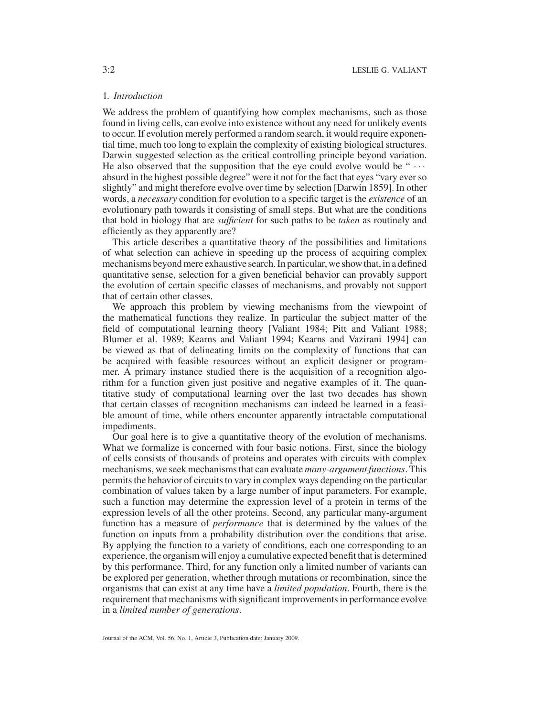#### 1*. Introduction*

We address the problem of quantifying how complex mechanisms, such as those found in living cells, can evolve into existence without any need for unlikely events to occur. If evolution merely performed a random search, it would require exponential time, much too long to explain the complexity of existing biological structures. Darwin suggested selection as the critical controlling principle beyond variation. He also observed that the supposition that the eye could evolve would be " $\cdots$ absurd in the highest possible degree" were it not for the fact that eyes "vary ever so slightly" and might therefore evolve over time by selection [Darwin 1859]. In other words, a *necessary* condition for evolution to a specific target is the *existence* of an evolutionary path towards it consisting of small steps. But what are the conditions that hold in biology that are *sufficient* for such paths to be *taken* as routinely and efficiently as they apparently are?

This article describes a quantitative theory of the possibilities and limitations of what selection can achieve in speeding up the process of acquiring complex mechanisms beyond mere exhaustive search. In particular, we show that, in a defined quantitative sense, selection for a given beneficial behavior can provably support the evolution of certain specific classes of mechanisms, and provably not support that of certain other classes.

We approach this problem by viewing mechanisms from the viewpoint of the mathematical functions they realize. In particular the subject matter of the field of computational learning theory [Valiant 1984; Pitt and Valiant 1988; Blumer et al. 1989; Kearns and Valiant 1994; Kearns and Vazirani 1994] can be viewed as that of delineating limits on the complexity of functions that can be acquired with feasible resources without an explicit designer or programmer. A primary instance studied there is the acquisition of a recognition algorithm for a function given just positive and negative examples of it. The quantitative study of computational learning over the last two decades has shown that certain classes of recognition mechanisms can indeed be learned in a feasible amount of time, while others encounter apparently intractable computational impediments.

Our goal here is to give a quantitative theory of the evolution of mechanisms. What we formalize is concerned with four basic notions. First, since the biology of cells consists of thousands of proteins and operates with circuits with complex mechanisms, we seek mechanisms that can evaluate *many-argument functions*. This permits the behavior of circuits to vary in complex ways depending on the particular combination of values taken by a large number of input parameters. For example, such a function may determine the expression level of a protein in terms of the expression levels of all the other proteins. Second, any particular many-argument function has a measure of *performance* that is determined by the values of the function on inputs from a probability distribution over the conditions that arise. By applying the function to a variety of conditions, each one corresponding to an experience, the organism will enjoy a cumulative expected benefit that is determined by this performance. Third, for any function only a limited number of variants can be explored per generation, whether through mutations or recombination, since the organisms that can exist at any time have a *limited population*. Fourth, there is the requirement that mechanisms with significant improvements in performance evolve in a *limited number of generations*.

Journal of the ACM, Vol. 56, No. 1, Article 3, Publication date: January 2009.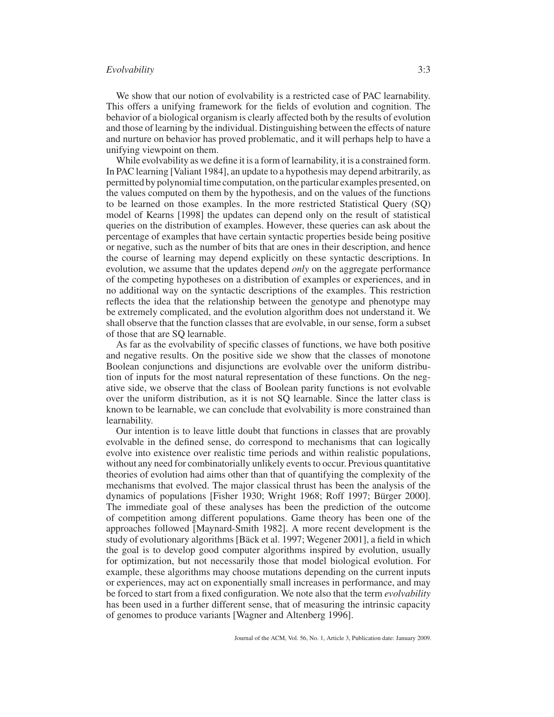We show that our notion of evolvability is a restricted case of PAC learnability. This offers a unifying framework for the fields of evolution and cognition. The behavior of a biological organism is clearly affected both by the results of evolution and those of learning by the individual. Distinguishing between the effects of nature and nurture on behavior has proved problematic, and it will perhaps help to have a unifying viewpoint on them.

While evolvability as we define it is a form of learnability, it is a constrained form. In PAC learning [Valiant 1984], an update to a hypothesis may depend arbitrarily, as permitted by polynomial time computation, on the particular examples presented, on the values computed on them by the hypothesis, and on the values of the functions to be learned on those examples. In the more restricted Statistical Query (SQ) model of Kearns [1998] the updates can depend only on the result of statistical queries on the distribution of examples. However, these queries can ask about the percentage of examples that have certain syntactic properties beside being positive or negative, such as the number of bits that are ones in their description, and hence the course of learning may depend explicitly on these syntactic descriptions. In evolution, we assume that the updates depend *only* on the aggregate performance of the competing hypotheses on a distribution of examples or experiences, and in no additional way on the syntactic descriptions of the examples. This restriction reflects the idea that the relationship between the genotype and phenotype may be extremely complicated, and the evolution algorithm does not understand it. We shall observe that the function classes that are evolvable, in our sense, form a subset of those that are SQ learnable.

As far as the evolvability of specific classes of functions, we have both positive and negative results. On the positive side we show that the classes of monotone Boolean conjunctions and disjunctions are evolvable over the uniform distribution of inputs for the most natural representation of these functions. On the negative side, we observe that the class of Boolean parity functions is not evolvable over the uniform distribution, as it is not SQ learnable. Since the latter class is known to be learnable, we can conclude that evolvability is more constrained than learnability.

Our intention is to leave little doubt that functions in classes that are provably evolvable in the defined sense, do correspond to mechanisms that can logically evolve into existence over realistic time periods and within realistic populations, without any need for combinatorially unlikely events to occur. Previous quantitative theories of evolution had aims other than that of quantifying the complexity of the mechanisms that evolved. The major classical thrust has been the analysis of the dynamics of populations [Fisher 1930; Wright 1968; Roff 1997; Bürger 2000]. The immediate goal of these analyses has been the prediction of the outcome of competition among different populations. Game theory has been one of the approaches followed [Maynard-Smith 1982]. A more recent development is the study of evolutionary algorithms [Bäck et al. 1997; Wegener 2001], a field in which the goal is to develop good computer algorithms inspired by evolution, usually for optimization, but not necessarily those that model biological evolution. For example, these algorithms may choose mutations depending on the current inputs or experiences, may act on exponentially small increases in performance, and may be forced to start from a fixed configuration. We note also that the term *evolvability* has been used in a further different sense, that of measuring the intrinsic capacity of genomes to produce variants [Wagner and Altenberg 1996].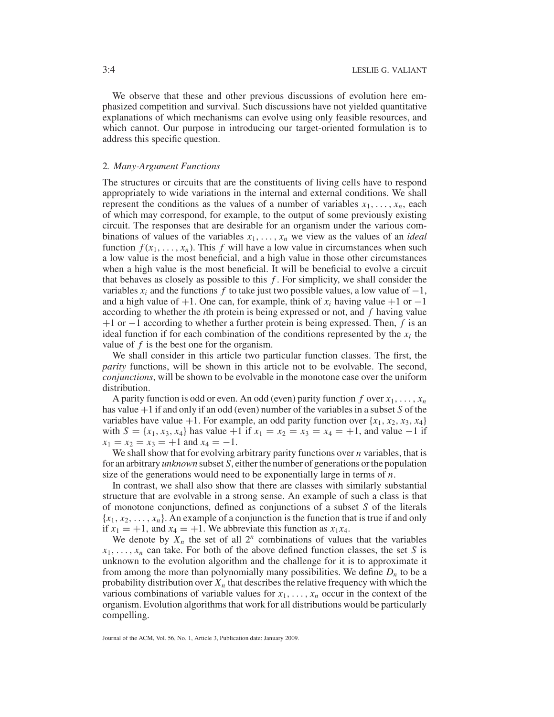We observe that these and other previous discussions of evolution here emphasized competition and survival. Such discussions have not yielded quantitative explanations of which mechanisms can evolve using only feasible resources, and which cannot. Our purpose in introducing our target-oriented formulation is to address this specific question.

#### 2*. Many-Argument Functions*

The structures or circuits that are the constituents of living cells have to respond appropriately to wide variations in the internal and external conditions. We shall represent the conditions as the values of a number of variables  $x_1, \ldots, x_n$ , each of which may correspond, for example, to the output of some previously existing circuit. The responses that are desirable for an organism under the various combinations of values of the variables  $x_1, \ldots, x_n$  we view as the values of an *ideal* function  $f(x_1, \ldots, x_n)$ . This *f* will have a low value in circumstances when such a low value is the most beneficial, and a high value in those other circumstances when a high value is the most beneficial. It will be beneficial to evolve a circuit that behaves as closely as possible to this *f* . For simplicity, we shall consider the variables  $x_i$  and the functions  $f$  to take just two possible values, a low value of  $-1$ , and a high value of  $+1$ . One can, for example, think of  $x_i$  having value  $+1$  or  $-1$ according to whether the *i*th protein is being expressed or not, and *f* having value +1 or −1 according to whether a further protein is being expressed. Then, *f* is an ideal function if for each combination of the conditions represented by the  $x_i$  the value of *f* is the best one for the organism.

We shall consider in this article two particular function classes. The first, the *parity* functions, will be shown in this article not to be evolvable. The second, *conjunctions*, will be shown to be evolvable in the monotone case over the uniform distribution.

A parity function is odd or even. An odd (even) parity function  $f$  over  $x_1, \ldots, x_n$ has value +1 if and only if an odd (even) number of the variables in a subset *S* of the variables have value  $+1$ . For example, an odd parity function over  $\{x_1, x_2, x_3, x_4\}$ with  $S = \{x_1, x_3, x_4\}$  has value +1 if  $x_1 = x_2 = x_3 = x_4 = +1$ , and value −1 if  $x_1 = x_2 = x_3 = +1$  and  $x_4 = -1$ .

We shall show that for evolving arbitrary parity functions over *n* variables, that is for an arbitrary *unknown* subset *S*, either the number of generations or the population size of the generations would need to be exponentially large in terms of *n*.

In contrast, we shall also show that there are classes with similarly substantial structure that are evolvable in a strong sense. An example of such a class is that of monotone conjunctions, defined as conjunctions of a subset *S* of the literals  ${x_1, x_2, \ldots, x_n}$ . An example of a conjunction is the function that is true if and only if  $x_1 = +1$ , and  $x_4 = +1$ . We abbreviate this function as  $x_1x_4$ .

We denote by  $X_n$  the set of all  $2^n$  combinations of values that the variables  $x_1, \ldots, x_n$  can take. For both of the above defined function classes, the set *S* is unknown to the evolution algorithm and the challenge for it is to approximate it from among the more than polynomially many possibilities. We define  $D_n$  to be a probability distribution over  $X_n$  that describes the relative frequency with which the various combinations of variable values for  $x_1, \ldots, x_n$  occur in the context of the organism. Evolution algorithms that work for all distributions would be particularly compelling.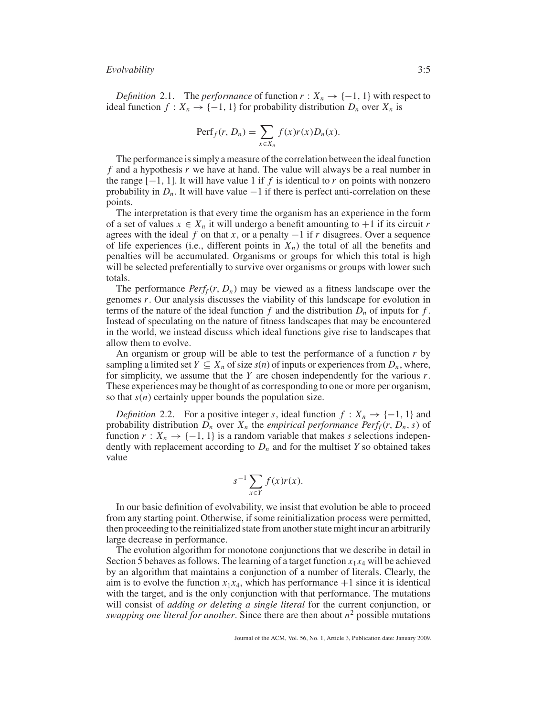*Definition* 2.1. The *performance* of function  $r : X_n \to \{-1, 1\}$  with respect to ideal function  $f: X_n \to \{-1, 1\}$  for probability distribution  $D_n$  over  $X_n$  is

$$
Perf_f(r, D_n) = \sum_{x \in X_n} f(x)r(x)D_n(x).
$$

The performance is simply a measure of the correlation between the ideal function *f* and a hypothesis *r* we have at hand. The value will always be a real number in the range  $[-1, 1]$ . It will have value 1 if *f* is identical to *r* on points with nonzero probability in  $D_n$ . It will have value  $-1$  if there is perfect anti-correlation on these points.

The interpretation is that every time the organism has an experience in the form of a set of values  $x \in X_n$  it will undergo a benefit amounting to  $+1$  if its circuit *r* agrees with the ideal  $f$  on that  $x$ , or a penalty  $-1$  if  $r$  disagrees. Over a sequence of life experiences (i.e., different points in  $X_n$ ) the total of all the benefits and penalties will be accumulated. Organisms or groups for which this total is high will be selected preferentially to survive over organisms or groups with lower such totals.

The performance  $Perf_f(r, D_n)$  may be viewed as a fitness landscape over the genomes *r*. Our analysis discusses the viability of this landscape for evolution in terms of the nature of the ideal function  $f$  and the distribution  $D_n$  of inputs for  $f$ . Instead of speculating on the nature of fitness landscapes that may be encountered in the world, we instead discuss which ideal functions give rise to landscapes that allow them to evolve.

An organism or group will be able to test the performance of a function *r* by sampling a limited set  $Y \subseteq X_n$  of size  $s(n)$  of inputs or experiences from  $D_n$ , where, for simplicity, we assume that the *Y* are chosen independently for the various *r*. These experiences may be thought of as corresponding to one or more per organism, so that *s*(*n*) certainly upper bounds the population size.

*Definition* 2.2. For a positive integer *s*, ideal function  $f: X_n \to \{-1, 1\}$  and probability distribution  $D_n$  over  $X_n$  the *empirical performance Perf<sub>f</sub> (r,*  $D_n$ *, s)* of function  $r : X_n \to \{-1, 1\}$  is a random variable that makes *s* selections independently with replacement according to  $D_n$  and for the multiset *Y* so obtained takes value

$$
s^{-1} \sum_{x \in Y} f(x)r(x).
$$

In our basic definition of evolvability, we insist that evolution be able to proceed from any starting point. Otherwise, if some reinitialization process were permitted, then proceeding to the reinitialized state from another state might incur an arbitrarily large decrease in performance.

The evolution algorithm for monotone conjunctions that we describe in detail in Section 5 behaves as follows. The learning of a target function  $x_1x_4$  will be achieved by an algorithm that maintains a conjunction of a number of literals. Clearly, the aim is to evolve the function  $x_1x_4$ , which has performance  $+1$  since it is identical with the target, and is the only conjunction with that performance. The mutations will consist of *adding or deleting a single literal* for the current conjunction, or *swapping one literal for another.* Since there are then about  $n^2$  possible mutations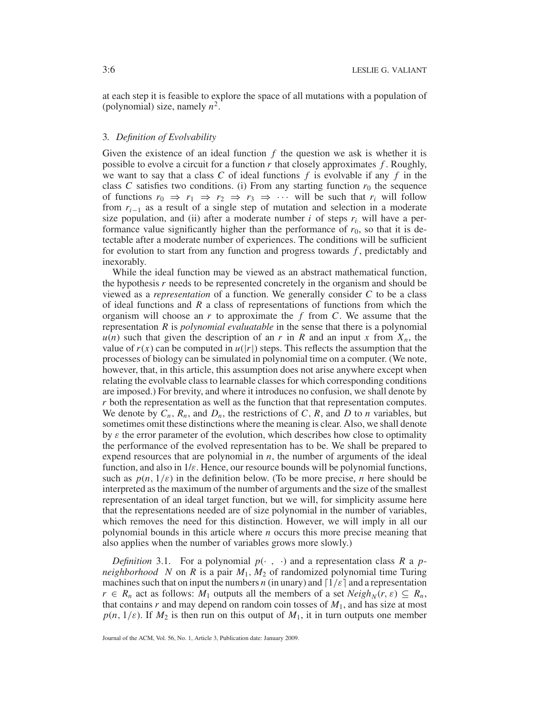at each step it is feasible to explore the space of all mutations with a population of (polynomial) size, namely  $n^2$ .

#### 3*. Definition of Evolvability*

Given the existence of an ideal function  $f$  the question we ask is whether it is possible to evolve a circuit for a function *r* that closely approximates *f* . Roughly, we want to say that a class *C* of ideal functions *f* is evolvable if any *f* in the class *C* satisfies two conditions. (i) From any starting function  $r_0$  the sequence of functions  $r_0 \Rightarrow r_1 \Rightarrow r_2 \Rightarrow r_3 \Rightarrow \cdots$  will be such that  $r_i$  will follow from *ri*<sup>−</sup><sup>1</sup> as a result of a single step of mutation and selection in a moderate size population, and (ii) after a moderate number  $i$  of steps  $r_i$  will have a performance value significantly higher than the performance of  $r<sub>0</sub>$ , so that it is detectable after a moderate number of experiences. The conditions will be sufficient for evolution to start from any function and progress towards *f* , predictably and inexorably.

While the ideal function may be viewed as an abstract mathematical function, the hypothesis *r* needs to be represented concretely in the organism and should be viewed as a *representation* of a function. We generally consider *C* to be a class of ideal functions and *R* a class of representations of functions from which the organism will choose an *r* to approximate the *f* from *C*. We assume that the representation *R* is *polynomial evaluatable* in the sense that there is a polynomial  $u(n)$  such that given the description of an *r* in *R* and an input *x* from  $X_n$ , the value of  $r(x)$  can be computed in  $u(|r|)$  steps. This reflects the assumption that the processes of biology can be simulated in polynomial time on a computer. (We note, however, that, in this article, this assumption does not arise anywhere except when relating the evolvable class to learnable classes for which corresponding conditions are imposed.) For brevity, and where it introduces no confusion, we shall denote by *r* both the representation as well as the function that that representation computes. We denote by  $C_n$ ,  $R_n$ , and  $D_n$ , the restrictions of C, R, and D to *n* variables, but sometimes omit these distinctions where the meaning is clear. Also, we shall denote by  $\varepsilon$  the error parameter of the evolution, which describes how close to optimality the performance of the evolved representation has to be. We shall be prepared to expend resources that are polynomial in *n*, the number of arguments of the ideal function, and also in  $1/\varepsilon$ . Hence, our resource bounds will be polynomial functions, such as  $p(n, 1/\varepsilon)$  in the definition below. (To be more precise, *n* here should be interpreted as the maximum of the number of arguments and the size of the smallest representation of an ideal target function, but we will, for simplicity assume here that the representations needed are of size polynomial in the number of variables, which removes the need for this distinction. However, we will imply in all our polynomial bounds in this article where *n* occurs this more precise meaning that also applies when the number of variables grows more slowly.)

*Definition* 3.1. For a polynomial  $p(\cdot, \cdot)$  and a representation class R a p*neighborhood N* on *R* is a pair  $M_1$ ,  $M_2$  of randomized polynomial time Turing machines such that on input the numbers *n* (in unary) and  $[1/\varepsilon]$  and a representation  $r \in R_n$  act as follows: *M*<sub>1</sub> outputs all the members of a set *Neigh<sub>N</sub>*( $r, \varepsilon$ )  $\subseteq R_n$ , that contains  $r$  and may depend on random coin tosses of  $M_1$ , and has size at most  $p(n, 1/\varepsilon)$ . If  $M_2$  is then run on this output of  $M_1$ , it in turn outputs one member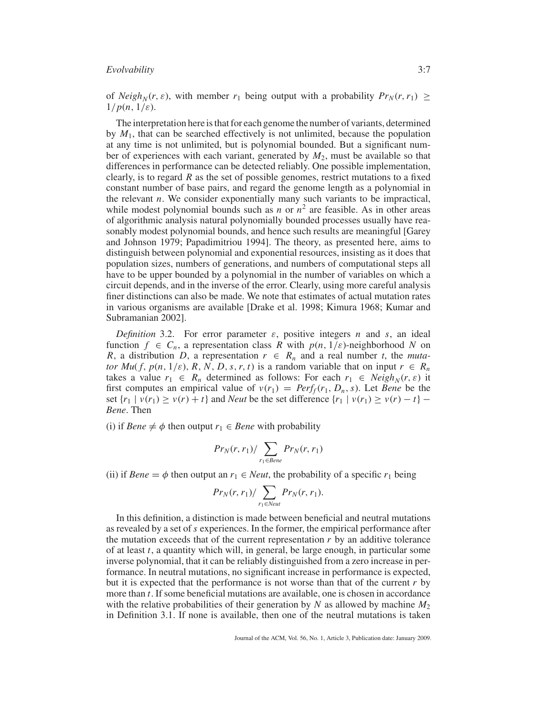of *Neigh<sub>N</sub>*( $r, \varepsilon$ ), with member  $r_1$  being output with a probability  $Pr_N(r, r_1) \ge$  $1/p(n, 1/\varepsilon)$ .

The interpretation here is that for each genome the number of variants, determined by  $M_1$ , that can be searched effectively is not unlimited, because the population at any time is not unlimited, but is polynomial bounded. But a significant number of experiences with each variant, generated by *M*2, must be available so that differences in performance can be detected reliably. One possible implementation, clearly, is to regard  $R$  as the set of possible genomes, restrict mutations to a fixed constant number of base pairs, and regard the genome length as a polynomial in the relevant *n*. We consider exponentially many such variants to be impractical, while modest polynomial bounds such as *n* or  $n^2$  are feasible. As in other areas of algorithmic analysis natural polynomially bounded processes usually have reasonably modest polynomial bounds, and hence such results are meaningful [Garey and Johnson 1979; Papadimitriou 1994]. The theory, as presented here, aims to distinguish between polynomial and exponential resources, insisting as it does that population sizes, numbers of generations, and numbers of computational steps all have to be upper bounded by a polynomial in the number of variables on which a circuit depends, and in the inverse of the error. Clearly, using more careful analysis finer distinctions can also be made. We note that estimates of actual mutation rates in various organisms are available [Drake et al. 1998; Kimura 1968; Kumar and Subramanian 2002].

*Definition* 3.2. For error parameter  $\varepsilon$ , positive integers *n* and *s*, an ideal function  $f \in C_n$ , a representation class R with  $p(n, 1/\varepsilon)$ -neighborhood N on *R*, a distribution *D*, a representation  $r \in R_n$  and a real number *t*, the *mutator Mu*(*f*,  $p(n, 1/\varepsilon)$ , *R*, *N*, *D*, *s*, *r*, *t*) is a random variable that on input  $r \in R_n$ takes a value  $r_1 \in R_n$  determined as follows: For each  $r_1 \in Neigh_N(r, \varepsilon)$  it first computes an empirical value of  $v(r_1) = Perf_f(r_1, D_n, s)$ . Let *Bene* be the set  $\{r_1 \mid v(r_1) \ge v(r) + t\}$  and *Neut* be the set difference  $\{r_1 \mid v(r_1) \ge v(r) - t\}$ *Bene*. Then

(i) if *Bene*  $\neq \phi$  then output  $r_1 \in$  *Bene* with probability

$$
Pr_N(r, r_1) / \sum_{r_1 \in \text{Bene}} Pr_N(r, r_1)
$$

(ii) if *Bene* =  $\phi$  then output an  $r_1 \in$  *Neut*, the probability of a specific  $r_1$  being

$$
Pr_N(r,r_1)/\sum_{r_1 \in Neut} Pr_N(r,r_1).
$$

In this definition, a distinction is made between beneficial and neutral mutations as revealed by a set of *s* experiences. In the former, the empirical performance after the mutation exceeds that of the current representation  $r$  by an additive tolerance of at least *t*, a quantity which will, in general, be large enough, in particular some inverse polynomial, that it can be reliably distinguished from a zero increase in performance. In neutral mutations, no significant increase in performance is expected, but it is expected that the performance is not worse than that of the current *r* by more than *t*. If some beneficial mutations are available, one is chosen in accordance with the relative probabilities of their generation by *N* as allowed by machine  $M_2$ in Definition 3.1. If none is available, then one of the neutral mutations is taken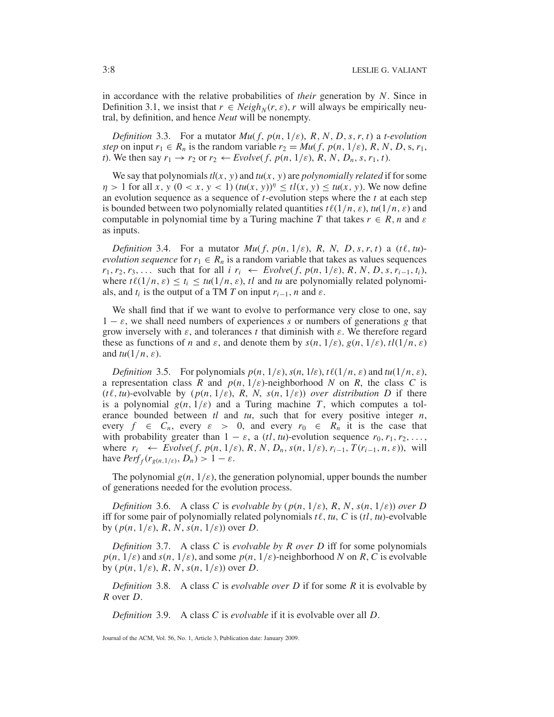in accordance with the relative probabilities of *their* generation by *N*. Since in Definition 3.1, we insist that  $r \in Neigh<sub>N</sub>(r, \varepsilon)$ , *r* will always be empirically neutral, by definition, and hence *Neut* will be nonempty.

*Definition* 3.3. For a mutator  $Mu(f, p(n, 1/\varepsilon), R, N, D, s, r, t)$  a *t-evolution step* on input  $r_1 \in R_n$  is the random variable  $r_2 = M u(f, p(n, 1/\varepsilon), R, N, D, s, r_1,$ *t*). We then say  $r_1 \rightarrow r_2$  or  $r_2 \leftarrow Evolve(f, p(n, 1/\varepsilon), R, N, D_n, s, r_1, t)$ .

We say that polynomials  $tl(x, y)$  and  $tu(x, y)$  are *polynomially related* if for some  $\eta > 1$  for all *x*,  $y$  (0 < *x*,  $y$  < 1)  $(tu(x, y))^{\eta} \le t l(x, y) \le t u(x, y)$ . We now define an evolution sequence as a sequence of *t*-evolution steps where the *t* at each step is bounded between two polynomially related quantities  $t\ell(1/n, \varepsilon)$ ,  $t\mu(1/n, \varepsilon)$  and computable in polynomial time by a Turing machine *T* that takes  $r \in R$ , *n* and  $\varepsilon$ as inputs.

*Definition* 3.4. For a mutator  $Mu(f, p(n, 1/\varepsilon), R, N, D, s, r, t)$  a  $(t\ell, tu)$ *evolution sequence* for  $r_1 \in R_n$  is a random variable that takes as values sequences  $r_1, r_2, r_3, \ldots$  such that for all  $i r_i \leftarrow Evolve(f, p(n, 1/\varepsilon), R, N, D, s, r_{i-1}, t_i),$ where  $t\ell(1/n, \varepsilon) \le t_i \le t\ell(1/n, \varepsilon)$ , *tl* and *tu* are polynomially related polynomials, and  $t_i$  is the output of a TM *T* on input  $r_{i-1}$ , *n* and  $\varepsilon$ .

We shall find that if we want to evolve to performance very close to one, say  $1 - \varepsilon$ , we shall need numbers of experiences *s* or numbers of generations *g* that grow inversely with  $\varepsilon$ , and tolerances t that diminish with  $\varepsilon$ . We therefore regard these as functions of *n* and  $\varepsilon$ , and denote them by  $s(n, 1/\varepsilon)$ ,  $g(n, 1/\varepsilon)$ ,  $t\ell(1/n, \varepsilon)$ and  $tu(1/n, \varepsilon)$ .

*Definition* 3.5. For polynomials  $p(n, 1/\varepsilon)$ ,  $s(n, 1/\varepsilon)$ ,  $t\ell(1/n, \varepsilon)$  and  $t\mu(1/n, \varepsilon)$ , a representation class *R* and  $p(n, 1/\varepsilon)$ -neighborhood *N* on *R*, the class *C* is  $(t\ell, tu)$ -evolvable by  $(p(n, 1/\varepsilon), R, N, s(n, 1/\varepsilon))$  *over distribution D* if there is a polynomial  $g(n, 1/\varepsilon)$  and a Turing machine *T*, which computes a tolerance bounded between *tl* and *tu*, such that for every positive integer *n*, every  $f \in C_n$ , every  $\varepsilon > 0$ , and every  $r_0 \in R_n$  it is the case that with probability greater than  $1 - \varepsilon$ , a (*tl*, *tu*)-evolution sequence  $r_0, r_1, r_2, \ldots$ , where  $r_i \leftarrow Evolve(f, p(n, 1/\varepsilon), R, N, D_n, s(n, 1/\varepsilon), r_{i-1}, T(r_{i-1}, n, \varepsilon))$ , will have  $Perf_f(r_{g(n,1/\varepsilon)}, D_n) > 1 - \varepsilon$ .

The polynomial  $g(n, 1/\varepsilon)$ , the generation polynomial, upper bounds the number of generations needed for the evolution process.

*Definition* 3.6. A class *C* is *evolvable by*  $(p(n, 1/\varepsilon), R, N, s(n, 1/\varepsilon))$  *over D* iff for some pair of polynomially related polynomials  $t\ell$ ,  $tu$ ,  $C$  is  $(tl, tu)$ -evolvable by  $(p(n, 1/\varepsilon), R, N, s(n, 1/\varepsilon))$  over *D*.

*Definition* 3.7. A class *C* is *evolvable by R over D* iff for some polynomials  $p(n, 1/\varepsilon)$  and  $s(n, 1/\varepsilon)$ , and some  $p(n, 1/\varepsilon)$ -neighborhood *N* on *R*, *C* is evolvable by  $(p(n, 1/\varepsilon), R, N, s(n, 1/\varepsilon))$  over *D*.

*Definition* 3.8. A class *C* is *evolvable over D* if for some *R* it is evolvable by *R* over *D*.

*Definition* 3.9. A class *C* is *evolvable* if it is evolvable over all *D*.

Journal of the ACM, Vol. 56, No. 1, Article 3, Publication date: January 2009.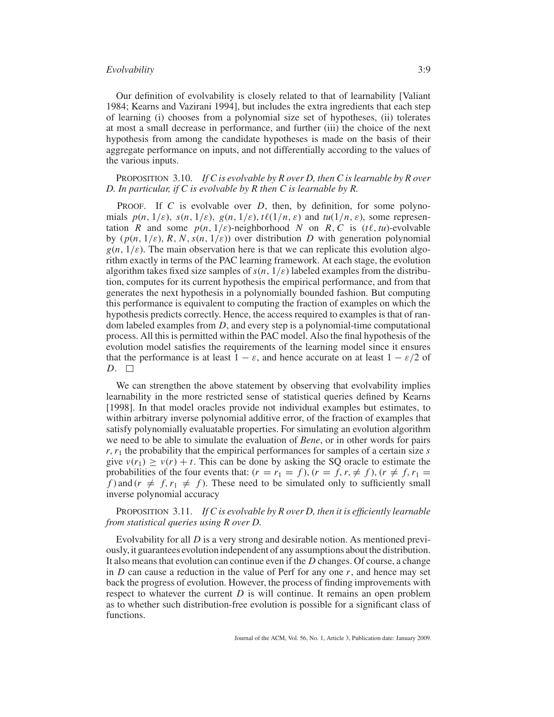Our definition of evolvability is closely related to that of learnability [Valiant 1984; Kearns and Vazirani 1994], but includes the extra ingredients that each step of learning (i) chooses from a polynomial size set of hypotheses, (ii) tolerates at most a small decrease in performance, and further (iii) the choice of the next hypothesis from among the candidate hypotheses is made on the basis of their aggregate performance on inputs, and not differentially according to the values of the various inputs.

### PROPOSITION 3.10. *If C is evolvable by R over D, then C is learnable by R over D. In particular, if C is evolvable by R then C is learnable by R.*

PROOF. If *C* is evolvable over *D*, then, by definition, for some polynomials  $p(n, 1/\varepsilon)$ ,  $s(n, 1/\varepsilon)$ ,  $g(n, 1/\varepsilon)$ ,  $t\ell(1/n, \varepsilon)$  and  $t\mu(1/n, \varepsilon)$ , some representation *R* and some  $p(n, 1/\varepsilon)$ -neighborhood *N* on *R*, *C* is ( $t\ell$ ,  $tu$ )-evolvable by  $(p(n, 1/\varepsilon), R, N, s(n, 1/\varepsilon))$  over distribution *D* with generation polynomial  $g(n, 1/\varepsilon)$ . The main observation here is that we can replicate this evolution algorithm exactly in terms of the PAC learning framework. At each stage, the evolution algorithm takes fixed size samples of  $s(n, 1/\varepsilon)$  labeled examples from the distribution, computes for its current hypothesis the empirical performance, and from that generates the next hypothesis in a polynomially bounded fashion. But computing this performance is equivalent to computing the fraction of examples on which the hypothesis predicts correctly. Hence, the access required to examples is that of random labeled examples from *D*, and every step is a polynomial-time computational process. All this is permitted within the PAC model. Also the final hypothesis of the evolution model satisfies the requirements of the learning model since it ensures that the performance is at least  $1 - \varepsilon$ , and hence accurate on at least  $1 - \varepsilon/2$  of *D*. □

We can strengthen the above statement by observing that evolvability implies learnability in the more restricted sense of statistical queries defined by Kearns [1998]. In that model oracles provide not individual examples but estimates, to within arbitrary inverse polynomial additive error, of the fraction of examples that satisfy polynomially evaluatable properties. For simulating an evolution algorithm we need to be able to simulate the evaluation of *Bene*, or in other words for pairs  $r, r<sub>1</sub>$  the probability that the empirical performances for samples of a certain size  $s$ give  $v(r_1) \ge v(r) + t$ . This can be done by asking the SQ oracle to estimate the probabilities of the four events that:  $(r = r_1 = f)$ ,  $(r = f, r, \neq f)$ ,  $(r \neq f, r_1 = f)$ *f*) and  $(r \neq f, r_1 \neq f)$ . These need to be simulated only to sufficiently small inverse polynomial accuracy

PROPOSITION 3.11. *If C is evolvable by R over D, then it is efficiently learnable from statistical queries using R over D.*

Evolvability for all *D* is a very strong and desirable notion. As mentioned previously, it guarantees evolution independent of any assumptions about the distribution. It also means that evolution can continue even if the *D* changes. Of course, a change in *D* can cause a reduction in the value of Perf for any one *r*, and hence may set back the progress of evolution. However, the process of finding improvements with respect to whatever the current *D* is will continue. It remains an open problem as to whether such distribution-free evolution is possible for a significant class of functions.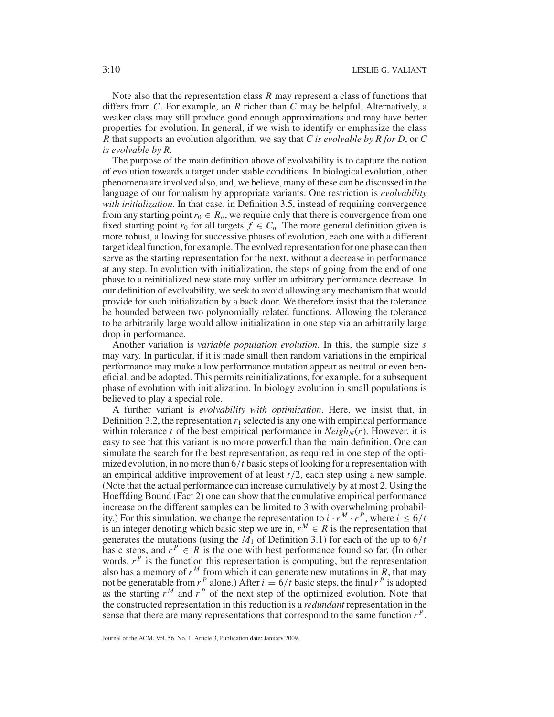Note also that the representation class *R* may represent a class of functions that differs from *C*. For example, an *R* richer than *C* may be helpful. Alternatively, a weaker class may still produce good enough approximations and may have better properties for evolution. In general, if we wish to identify or emphasize the class *R* that supports an evolution algorithm, we say that *C is evolvable by R for D*, or *C is evolvable by R*.

The purpose of the main definition above of evolvability is to capture the notion of evolution towards a target under stable conditions. In biological evolution, other phenomena are involved also, and, we believe, many of these can be discussed in the language of our formalism by appropriate variants. One restriction is *evolvability with initialization*. In that case, in Definition 3.5, instead of requiring convergence from any starting point  $r_0 \in R_n$ , we require only that there is convergence from one fixed starting point  $r_0$  for all targets  $f \in C_n$ . The more general definition given is more robust, allowing for successive phases of evolution, each one with a different target ideal function, for example. The evolved representation for one phase can then serve as the starting representation for the next, without a decrease in performance at any step. In evolution with initialization, the steps of going from the end of one phase to a reinitialized new state may suffer an arbitrary performance decrease. In our definition of evolvability, we seek to avoid allowing any mechanism that would provide for such initialization by a back door. We therefore insist that the tolerance be bounded between two polynomially related functions. Allowing the tolerance to be arbitrarily large would allow initialization in one step via an arbitrarily large drop in performance.

Another variation is *variable population evolution.* In this, the sample size *s* may vary. In particular, if it is made small then random variations in the empirical performance may make a low performance mutation appear as neutral or even beneficial, and be adopted. This permits reinitializations, for example, for a subsequent phase of evolution with initialization. In biology evolution in small populations is believed to play a special role.

A further variant is *evolvability with optimization*. Here, we insist that, in Definition 3.2, the representation  $r_1$  selected is any one with empirical performance within tolerance *t* of the best empirical performance in  $Neigh_N(r)$ . However, it is easy to see that this variant is no more powerful than the main definition. One can simulate the search for the best representation, as required in one step of the optimized evolution, in no more than 6/*t* basic steps of looking for a representation with an empirical additive improvement of at least *t*/2, each step using a new sample. (Note that the actual performance can increase cumulatively by at most 2. Using the Hoeffding Bound (Fact 2) one can show that the cumulative empirical performance increase on the different samples can be limited to 3 with overwhelming probability.) For this simulation, we change the representation to  $i \cdot r^M \cdot r^P$ , where  $i \leq 6/t$ is an integer denoting which basic step we are in,  $r^M \in R$  is the representation that generates the mutations (using the  $M_1$  of Definition 3.1) for each of the up to  $6/t$ basic steps, and  $r^P \in R$  is the one with best performance found so far. (In other words,  $r^P$  is the function this representation is computing, but the representation also has a memory of  $r^M$  from which it can generate new mutations in  $R$ , that may not be generatable from  $r^P$  alone.) After  $i = 6/t$  basic steps, the final  $r^P$  is adopted as the starting  $r^M$  and  $r^P$  of the next step of the optimized evolution. Note that the constructed representation in this reduction is a *redundant* representation in the sense that there are many representations that correspond to the same function  $r^P$ .

Journal of the ACM, Vol. 56, No. 1, Article 3, Publication date: January 2009.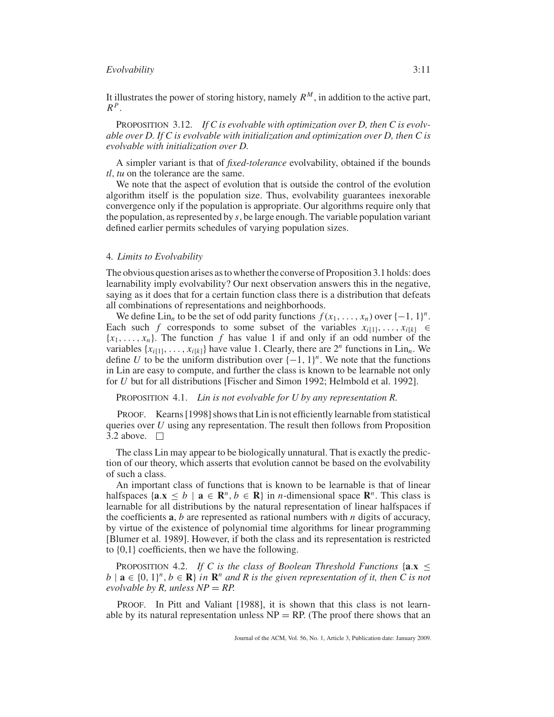It illustrates the power of storing history, namely  $R^M$ , in addition to the active part, *R<sup>P</sup>*.

PROPOSITION 3.12. *If C is evolvable with optimization over D, then C is evolvable over D. If C is evolvable with initialization and optimization over D, then C is evolvable with initialization over D.*

A simpler variant is that of *fixed-tolerance* evolvability, obtained if the bounds *tl*, *tu* on the tolerance are the same.

We note that the aspect of evolution that is outside the control of the evolution algorithm itself is the population size. Thus, evolvability guarantees inexorable convergence only if the population is appropriate. Our algorithms require only that the population, as represented by *s*, be large enough. The variable population variant defined earlier permits schedules of varying population sizes.

#### 4*. Limits to Evolvability*

The obvious question arises as to whether the converse of Proposition 3.1 holds: does learnability imply evolvability? Our next observation answers this in the negative, saying as it does that for a certain function class there is a distribution that defeats all combinations of representations and neighborhoods.

We define Lin<sub>n</sub> to be the set of odd parity functions  $f(x_1, \ldots, x_n)$  over  $\{-1, 1\}^n$ . Each such *f* corresponds to some subset of the variables  $x_{i[1]}, \ldots, x_{i[k]} \in$  ${x_1, \ldots, x_n}$ . The function *f* has value 1 if and only if an odd number of the variables  $\{x_{i[1]}, \ldots, x_{i[k]}\}$  have value 1. Clearly, there are  $2^n$  functions in Lin<sub>n</sub>. We define *U* to be the uniform distribution over  $\{-1, 1\}^n$ . We note that the functions in Lin are easy to compute, and further the class is known to be learnable not only for *U* but for all distributions [Fischer and Simon 1992; Helmbold et al. 1992].

PROPOSITION 4.1. *Lin is not evolvable for U by any representation R.*

PROOF. Kearns [1998] shows that Lin is not efficiently learnable from statistical queries over *U* using any representation. The result then follows from Proposition 3.2 above.  $\square$ 

The class Lin may appear to be biologically unnatural. That is exactly the prediction of our theory, which asserts that evolution cannot be based on the evolvability of such a class.

An important class of functions that is known to be learnable is that of linear halfspaces { $\mathbf{a} \cdot \mathbf{x} \leq b \mid \mathbf{a} \in \mathbb{R}^n$ ,  $b \in \mathbb{R}$ } in *n*-dimensional space  $\mathbb{R}^n$ . This class is learnable for all distributions by the natural representation of linear halfspaces if the coefficients **a**, *b* are represented as rational numbers with *n* digits of accuracy, by virtue of the existence of polynomial time algorithms for linear programming [Blumer et al. 1989]. However, if both the class and its representation is restricted to {0,1} coefficients, then we have the following.

PROPOSITION 4.2. *If C is the class of Boolean Threshold Functions* { $a.x \leq$  $b \mid a \in \{0, 1\}^n$ ,  $b \in \mathbb{R}\}$  *in*  $\mathbb{R}^n$  *and*  $R$  *is the given representation of it, then*  $C$  *is not evolvable by R, unless*  $NP = RP$ *.* 

PROOF. In Pitt and Valiant [1988], it is shown that this class is not learnable by its natural representation unless  $NP = RP$ . (The proof there shows that an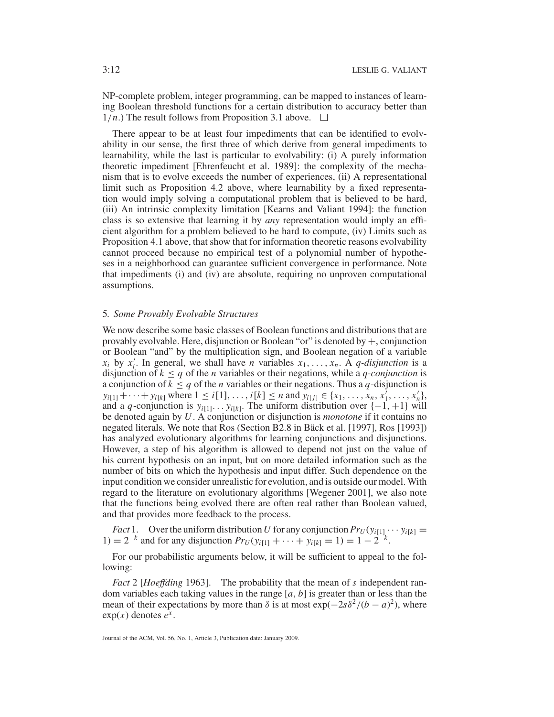NP-complete problem, integer programming, can be mapped to instances of learning Boolean threshold functions for a certain distribution to accuracy better than  $1/n$ .) The result follows from Proposition 3.1 above.  $\Box$ 

There appear to be at least four impediments that can be identified to evolvability in our sense, the first three of which derive from general impediments to learnability, while the last is particular to evolvability: (i) A purely information theoretic impediment [Ehrenfeucht et al. 1989]: the complexity of the mechanism that is to evolve exceeds the number of experiences, (ii) A representational limit such as Proposition 4.2 above, where learnability by a fixed representation would imply solving a computational problem that is believed to be hard, (iii) An intrinsic complexity limitation [Kearns and Valiant 1994]: the function class is so extensive that learning it by *any* representation would imply an efficient algorithm for a problem believed to be hard to compute, (iv) Limits such as Proposition 4.1 above, that show that for information theoretic reasons evolvability cannot proceed because no empirical test of a polynomial number of hypotheses in a neighborhood can guarantee sufficient convergence in performance. Note that impediments (i) and (iv) are absolute, requiring no unproven computational assumptions.

#### 5*. Some Provably Evolvable Structures*

We now describe some basic classes of Boolean functions and distributions that are provably evolvable. Here, disjunction or Boolean "or" is denoted by  $+$ , conjunction or Boolean "and" by the multiplication sign, and Boolean negation of a variable  $x_i$  by  $x'_i$ . In general, we shall have *n* variables  $x_1, \ldots, x_n$ . A *q-disjunction* is a disjunction of  $k \leq q$  of the *n* variables or their negations, while a *q*-conjunction is a conjunction of  $k \leq q$  of the *n* variables or their negations. Thus a *q*-disjunction is  $y_{i[1]} + \cdots + y_{i[k]}$  where  $1 \leq i[1], \ldots, i[k] \leq n$  and  $y_{i[j]} \in \{x_1, \ldots, x_n, x_1', \ldots, x_n'\}$ , and a *q*-conjunction is  $y_{i[1]}\ldots y_{i[k]}$ . The uniform distribution over  $\{-1, +1\}$  will be denoted again by *U*. A conjunction or disjunction is *monotone* if it contains no negated literals. We note that Ros (Section B2.8 in Bäck et al. [1997], Ros [1993]) has analyzed evolutionary algorithms for learning conjunctions and disjunctions. However, a step of his algorithm is allowed to depend not just on the value of his current hypothesis on an input, but on more detailed information such as the number of bits on which the hypothesis and input differ. Such dependence on the input condition we consider unrealistic for evolution, and is outside our model. With regard to the literature on evolutionary algorithms [Wegener 2001], we also note that the functions being evolved there are often real rather than Boolean valued, and that provides more feedback to the process.

*Fact* 1. Over the uniform distribution *U* for any conjunction  $Pr_U(y_{i[1]} \cdots y_{i[k]} =$ 1) =  $2^{-k}$  and for any disjunction  $Pr_U(y_{i[1]} + \cdots + y_{i[k]} = 1) = 1 - 2^{-k}$ .

For our probabilistic arguments below, it will be sufficient to appeal to the following:

*Fact* 2 [*Hoeffding* 1963]. The probability that the mean of *s* independent random variables each taking values in the range [*a*, *b*] is greater than or less than the mean of their expectations by more than  $\delta$  is at most  $\exp(-2s\delta^2/((b-a)^2))$ , where  $\exp(x)$  denotes  $e^x$ .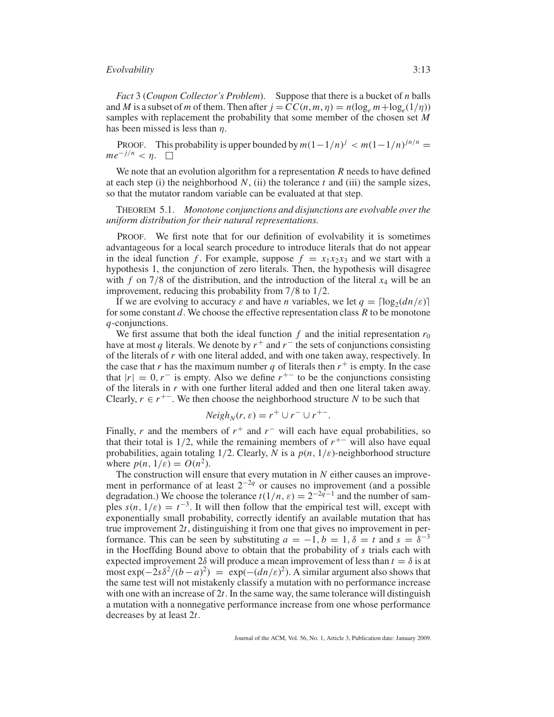*Fact* 3 (*Coupon Collector's Problem*). Suppose that there is a bucket of *n* balls and *M* is a subset of *m* of them. Then after  $j = CC(n, m, \eta) = n(\log_e m + \log_e(1/\eta))$ samples with replacement the probability that some member of the chosen set *M* has been missed is less than  $\eta$ .

PROOF. This probability is upper bounded by  $m(1-1/n)^j < m(1-1/n)^{jn/n}$  $me^{-j/n} < n$ .  $\Box$ 

We note that an evolution algorithm for a representation *R* needs to have defined at each step (i) the neighborhood  $N$ , (ii) the tolerance  $t$  and (iii) the sample sizes, so that the mutator random variable can be evaluated at that step.

THEOREM 5.1. *Monotone conjunctions and disjunctions are evolvable over the uniform distribution for their natural representations.*

PROOF. We first note that for our definition of evolvability it is sometimes advantageous for a local search procedure to introduce literals that do not appear in the ideal function *f*. For example, suppose  $f = x_1x_2x_3$  and we start with a hypothesis 1, the conjunction of zero literals. Then, the hypothesis will disagree with  $f$  on  $7/8$  of the distribution, and the introduction of the literal  $x_4$  will be an improvement, reducing this probability from 7/8 to 1/2.

If we are evolving to accuracy  $\varepsilon$  and have *n* variables, we let  $q = \lceil \log_2(dn/\varepsilon) \rceil$ for some constant *d*. We choose the effective representation class *R* to be monotone *q*-conjunctions.

We first assume that both the ideal function  $f$  and the initial representation  $r_0$ have at most *q* literals. We denote by *r*<sup>+</sup> and *r*<sup>−</sup> the sets of conjunctions consisting of the literals of *r* with one literal added, and with one taken away, respectively. In the case that *r* has the maximum number *q* of literals then  $r^+$  is empty. In the case that  $|r| = 0, r^-$  is empty. Also we define  $r^{+-}$  to be the conjunctions consisting of the literals in *r* with one further literal added and then one literal taken away. Clearly,  $r \in r^{+-}$ . We then choose the neighborhood structure *N* to be such that

$$
Neigh_N(r,\varepsilon) = r^+ \cup r^- \cup r^{+-}.
$$

Finally, *r* and the members of  $r^+$  and  $r^-$  will each have equal probabilities, so that their total is 1/2, while the remaining members of  $r^{+-}$  will also have equal probabilities, again totaling  $1/2$ . Clearly, *N* is a  $p(n, 1/\varepsilon)$ -neighborhood structure where  $p(n, 1/\varepsilon) = O(n^2)$ .

The construction will ensure that every mutation in *N* either causes an improvement in performance of at least 2<sup>−</sup>2*<sup>q</sup>* or causes no improvement (and a possible degradation.) We choose the tolerance  $t(1/n, \varepsilon) = 2^{-2q-1}$  and the number of samples  $s(n, 1/\varepsilon) = t^{-3}$ . It will then follow that the empirical test will, except with exponentially small probability, correctly identify an available mutation that has true improvement 2*t*, distinguishing it from one that gives no improvement in performance. This can be seen by substituting  $a = -1$ ,  $b = 1$ ,  $\delta = t$  and  $s = \delta^{-3}$ in the Hoeffding Bound above to obtain that the probability of *s* trials each with expected improvement 2 $\delta$  will produce a mean improvement of less than  $t = \delta$  is at most  $\exp(-2s\delta^2/(b-a)^2) = \exp(-(dn/\varepsilon)^2)$ . A similar argument also shows that the same test will not mistakenly classify a mutation with no performance increase with one with an increase of  $2t$ . In the same way, the same tolerance will distinguish a mutation with a nonnegative performance increase from one whose performance decreases by at least 2*t*.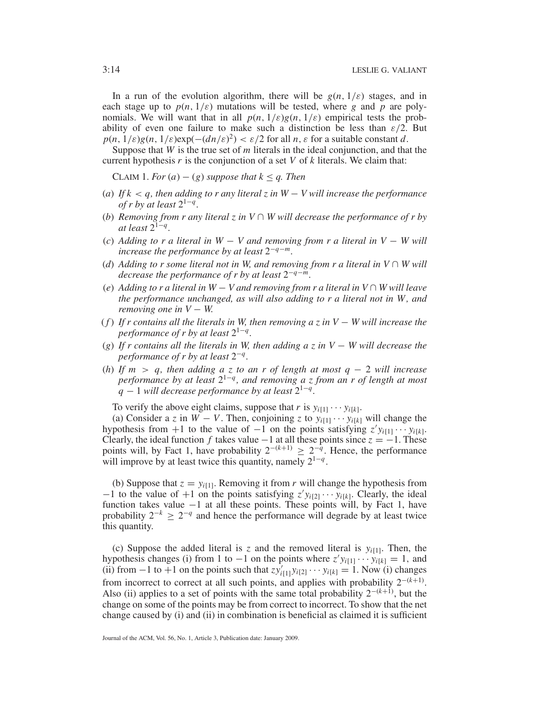In a run of the evolution algorithm, there will be  $g(n, 1/\varepsilon)$  stages, and in each stage up to  $p(n, 1/\varepsilon)$  mutations will be tested, where g and p are polynomials. We will want that in all  $p(n, 1/\varepsilon)g(n, 1/\varepsilon)$  empirical tests the probability of even one failure to make such a distinction be less than  $\varepsilon/2$ . But  $p(n, 1/\varepsilon)g(n, 1/\varepsilon)exp(-(dn/\varepsilon)^2) < \varepsilon/2$  for all *n*,  $\varepsilon$  for a suitable constant *d*.

Suppose that *W* is the true set of *m* literals in the ideal conjunction, and that the current hypothesis *r* is the conjunction of a set *V* of *k* literals. We claim that:

CLAIM 1. *For*  $(a) - (g)$  *suppose that*  $k \leq q$ *. Then* 

- (*a*) *If k* < *q, then adding to r any literal z in W* − *V will increase the performance of r by at least*  $2^{1-q}$ *.*
- (*b*) *Removing from r any literal z in V* ∩ *W will decrease the performance of r by at least*  $2^{1-q}$ *.*
- (*c*) *Adding to r a literal in W* − *V and removing from r a literal in V* − *W will increase the performance by at least* 2<sup>−</sup>*q*<sup>−</sup>*m.*
- (*d*) *Adding to r some literal not in W, and removing from r a literal in*  $V \cap W$  *will decrease the performance of r by at least* 2<sup>−</sup>*q*<sup>−</sup>*m.*
- (*e*) *Adding to r a literal in W* − *V and removing from r a literal in V* ∩ *W will leave the performance unchanged, as will also adding to r a literal not in W , and removing one in*  $V - W$ .
- ( *f* ) *If r contains all the literals in W, then removing a z in V* − *W will increase the performance of r by at least*  $2^{1-q}$ *.*
- (*g*) If r contains all the literals in W, then adding a z in  $V W$  will decrease the *performance of r by at least*  $2^{-q}$ *.*
- (*h*) *If m* > *q, then adding a z to an r of length at most q* − 2 *will increase performance by at least* 2<sup>1</sup>−*<sup>q</sup> , and removing a z from an r of length at most*  $q-1$  *will decrease performance by at least*  $2^{1-q}$ *.*

To verify the above eight claims, suppose that *r* is  $y_{i[1]} \cdots y_{i[k]}$ .

(a) Consider a *z* in *W* − *V*. Then, conjoining *z* to  $y_{i[1]} \cdots y_{i[k]}$  will change the hypothesis from +1 to the value of  $-1$  on the points satisfying  $z' y_{i[1]} \cdots y_{i[k]}$ . Clearly, the ideal function *f* takes value  $-1$  at all these points since  $z = -1$ . These points will, by Fact 1, have probability  $2^{-(k+1)} \geq 2^{-\tilde{q}}$ . Hence, the performance will improve by at least twice this quantity, namely  $2^{1-q}$ .

(b) Suppose that  $z = y_{i[1]}$ . Removing it from *r* will change the hypothesis from  $-1$  to the value of  $+1$  on the points satisfying  $z' y_{i[2]} \cdots y_{i[k]}$ . Clearly, the ideal function takes value  $-1$  at all these points. These points will, by Fact 1, have probability  $2^{-k} \geq 2^{-q}$  and hence the performance will degrade by at least twice this quantity.

(c) Suppose the added literal is  $z$  and the removed literal is  $y_{i[1]}$ . Then, the hypothesis changes (i) from 1 to  $-1$  on the points where  $z' y_{i[1]} \cdots y_{i[k]} = 1$ , and  $(iii)$  from −1 to +1 on the points such that  $zy'_{i[1]}y_{i[2]} \cdots y_{i[k]} = 1$ . Now (i) changes from incorrect to correct at all such points, and applies with probability  $2^{-(k+1)}$ . Also (ii) applies to a set of points with the same total probability  $2^{-(k+1)}$ , but the change on some of the points may be from correct to incorrect. To show that the net change caused by (i) and (ii) in combination is beneficial as claimed it is sufficient

Journal of the ACM, Vol. 56, No. 1, Article 3, Publication date: January 2009.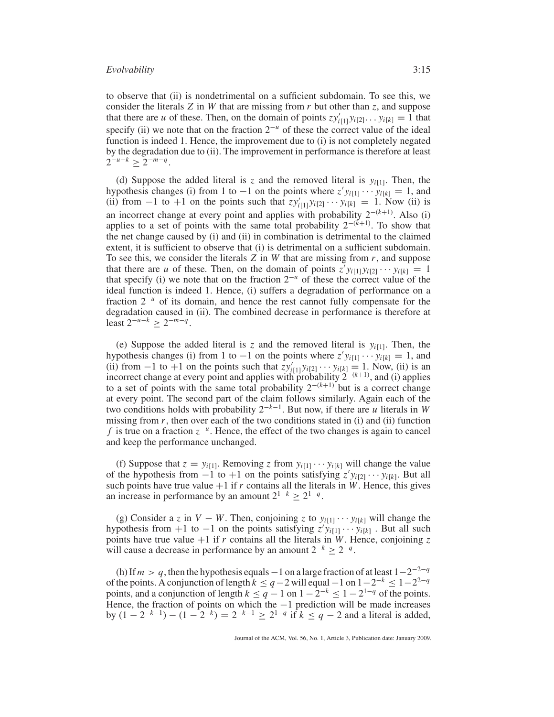to observe that (ii) is nondetrimental on a sufficient subdomain. To see this, we consider the literals *Z* in *W* that are missing from *r* but other than *z*, and suppose that there are *u* of these. Then, on the domain of points  $zy'_{i[1]}y_{i[2]}\dots y_{i[k]} = 1$  that specify (ii) we note that on the fraction  $2^{-u}$  of these the correct value of the ideal function is indeed 1. Hence, the improvement due to (i) is not completely negated by the degradation due to (ii). The improvement in performance is therefore at least  $2^{-u-k}$  >  $2^{-m-q}$ .

(d) Suppose the added literal is  $z$  and the removed literal is  $y_{i[1]}$ . Then, the hypothesis changes (i) from 1 to  $-1$  on the points where  $z' y_{i[1]} \cdots y_{i[k]} = 1$ , and (ii) from  $-1$  to  $+1$  on the points such that  $zy'_{i[1]}y_{i[2]} \cdots y_{i[k]} = 1$ . Now (ii) is an incorrect change at every point and applies with probability  $2^{-(k+1)}$ . Also (i) applies to a set of points with the same total probability  $2^{-(k+1)}$ . To show that the net change caused by (i) and (ii) in combination is detrimental to the claimed extent, it is sufficient to observe that (i) is detrimental on a sufficient subdomain. To see this, we consider the literals *Z* in *W* that are missing from *r*, and suppose that there are *u* of these. Then, on the domain of points  $z' y_{i[1]} y_{i[2]} \cdots y_{i[k]} = 1$ that specify (i) we note that on the fraction 2<sup>−</sup>*<sup>u</sup>* of these the correct value of the ideal function is indeed 1. Hence, (i) suffers a degradation of performance on a fraction 2<sup>−</sup>*<sup>u</sup>* of its domain, and hence the rest cannot fully compensate for the degradation caused in (ii). The combined decrease in performance is therefore at least  $2^{-u-k}$  ≥  $2^{-m-q}$ .

(e) Suppose the added literal is  $z$  and the removed literal is  $y_{i[1]}$ . Then, the hypothesis changes (i) from 1 to  $-1$  on the points where  $z' y_{i[1]} \cdots y_{i[k]} = 1$ , and (ii) from  $-1$  to  $+1$  on the points such that  $zy'_{i[1]}y_{i[2]} \cdots y_{i[k]} = 1$ . Now, (ii) is an incorrect change at every point and applies with probability  $2^{-(k+1)}$ , and (i) applies to a set of points with the same total probability  $2^{-(k+1)}$  but is a correct change at every point. The second part of the claim follows similarly. Again each of the two conditions holds with probability  $2^{-k-1}$ . But now, if there are *u* literals in *W* missing from  $r$ , then over each of the two conditions stated in (i) and (ii) function *f* is true on a fraction  $z^{-u}$ . Hence, the effect of the two changes is again to cancel and keep the performance unchanged.

(f) Suppose that  $z = y_{i[1]}$ . Removing *z* from  $y_{i[1]} \cdots y_{i[k]}$  will change the value of the hypothesis from  $-1$  to  $+1$  on the points satisfying  $z' y_{i[2]} \cdots y_{i[k]}$ . But all such points have true value  $+1$  if  $r$  contains all the literals in  $W$ . Hence, this gives an increase in performance by an amount  $2^{1-k} \ge 2^{1-q}$ .

(g) Consider a *z* in *V* − *W*. Then, conjoining *z* to  $y_{i[1]} \cdots y_{i[k]}$  will change the hypothesis from +1 to -1 on the points satisfying  $z' y_{i[1]} \cdots y_{i[k]}$ . But all such points have true value +1 if *r* contains all the literals in *W*. Hence, conjoining *z* will cause a decrease in performance by an amount  $2^{-k} \geq 2^{-q}$ .

(h) If  $m > q$ , then the hypothesis equals –1 on a large fraction of at least  $1 - 2^{-2-q}$ of the points. A conjunction of length  $k \leq q-2$  will equal −1 on  $1-2^{-k} \leq 1-2^{2-q}$ points, and a conjunction of length  $k \le q - 1$  on  $1 - 2^{-k} \le 1 - 2^{1-q}$  of the points. Hence, the fraction of points on which the  $-1$  prediction will be made increases by  $(1 - 2^{-k-1}) - (1 - 2^{-k}) = 2^{-k-1} \ge 2^{1-q}$  if  $k \le q - 2$  and a literal is added,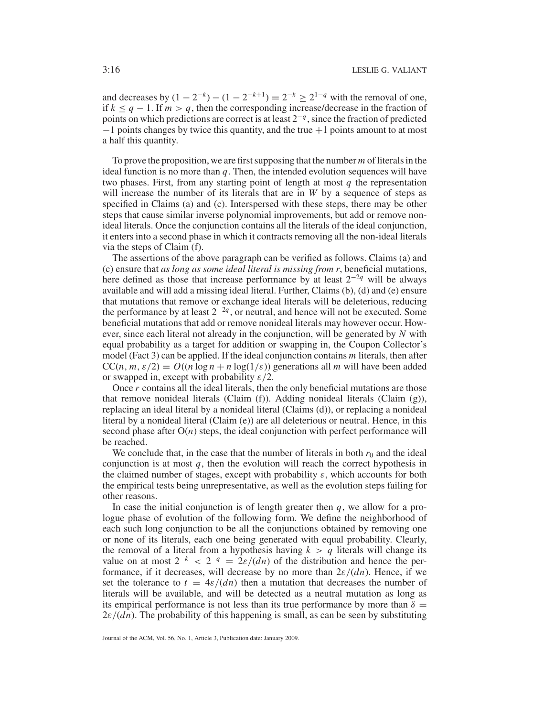and decreases by  $(1 - 2^{-k}) - (1 - 2^{-k+1}) = 2^{-k} > 2^{1-q}$  with the removal of one, if  $k \leq q - 1$ . If  $m > q$ , then the corresponding increase/decrease in the fraction of points on which predictions are correct is at least 2<sup>−</sup>*<sup>q</sup>* , since the fraction of predicted −1 points changes by twice this quantity, and the true +1 points amount to at most a half this quantity.

To prove the proposition, we are first supposing that the number *m* of literals in the ideal function is no more than *q*. Then, the intended evolution sequences will have two phases. First, from any starting point of length at most *q* the representation will increase the number of its literals that are in *W* by a sequence of steps as specified in Claims (a) and (c). Interspersed with these steps, there may be other steps that cause similar inverse polynomial improvements, but add or remove nonideal literals. Once the conjunction contains all the literals of the ideal conjunction, it enters into a second phase in which it contracts removing all the non-ideal literals via the steps of Claim (f).

The assertions of the above paragraph can be verified as follows. Claims (a) and (c) ensure that *as long as some ideal literal is missing from r*, beneficial mutations, here defined as those that increase performance by at least 2<sup>−</sup>2*<sup>q</sup>* will be always available and will add a missing ideal literal. Further, Claims (b), (d) and (e) ensure that mutations that remove or exchange ideal literals will be deleterious, reducing the performance by at least  $2^{-2q}$ , or neutral, and hence will not be executed. Some beneficial mutations that add or remove nonideal literals may however occur. However, since each literal not already in the conjunction, will be generated by *N* with equal probability as a target for addition or swapping in, the Coupon Collector's model (Fact 3) can be applied. If the ideal conjunction contains *m* literals, then after  $CC(n, m, \varepsilon/2) = O((n \log n + n \log(1/\varepsilon))$  generations all *m* will have been added or swapped in, except with probability  $\varepsilon/2$ .

Once *r* contains all the ideal literals, then the only beneficial mutations are those that remove nonideal literals (Claim  $(f)$ ). Adding nonideal literals (Claim  $(g)$ ), replacing an ideal literal by a nonideal literal (Claims (d)), or replacing a nonideal literal by a nonideal literal (Claim (e)) are all deleterious or neutral. Hence, in this second phase after  $O(n)$  steps, the ideal conjunction with perfect performance will be reached.

We conclude that, in the case that the number of literals in both  $r_0$  and the ideal conjunction is at most *q*, then the evolution will reach the correct hypothesis in the claimed number of stages, except with probability  $\varepsilon$ , which accounts for both the empirical tests being unrepresentative, as well as the evolution steps failing for other reasons.

In case the initial conjunction is of length greater then  $q$ , we allow for a prologue phase of evolution of the following form. We define the neighborhood of each such long conjunction to be all the conjunctions obtained by removing one or none of its literals, each one being generated with equal probability. Clearly, the removal of a literal from a hypothesis having  $k > q$  literals will change its value on at most  $2^{-k} < 2^{-q} = 2\varepsilon/(dn)$  of the distribution and hence the performance, if it decreases, will decrease by no more than  $2\varepsilon/(dn)$ . Hence, if we set the tolerance to  $t = 4\varepsilon/(dn)$  then a mutation that decreases the number of literals will be available, and will be detected as a neutral mutation as long as its empirical performance is not less than its true performance by more than  $\delta =$  $2\varepsilon/(dn)$ . The probability of this happening is small, as can be seen by substituting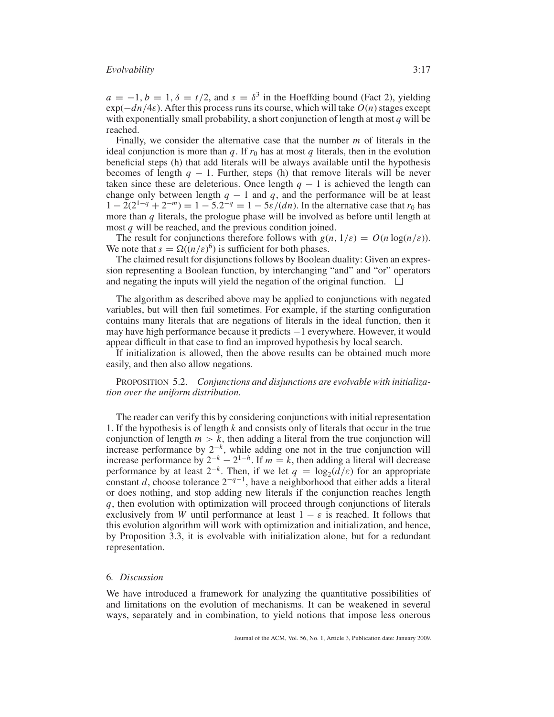$a = -1, b = 1, \delta = t/2$ , and  $s = \delta^3$  in the Hoeffding bound (Fact 2), yielding exp(−*dn*/4ε). After this process runs its course, which will take *O*(*n*) stages except with exponentially small probability, a short conjunction of length at most *q* will be reached.

Finally, we consider the alternative case that the number *m* of literals in the ideal conjunction is more than  $q$ . If  $r_0$  has at most  $q$  literals, then in the evolution beneficial steps (h) that add literals will be always available until the hypothesis becomes of length  $q - 1$ . Further, steps (h) that remove literals will be never taken since these are deleterious. Once length  $q - 1$  is achieved the length can change only between length  $q - 1$  and  $q$ , and the performance will be at least  $1 - 2(2^{1-q} + 2^{-m}) = 1 - 5 \cdot 2^{-q} = 1 - 5\varepsilon/(dn)$ . In the alternative case that  $r_0$  has more than *q* literals, the prologue phase will be involved as before until length at most *q* will be reached, and the previous condition joined.

The result for conjunctions therefore follows with  $g(n, 1/\varepsilon) = O(n \log(n/\varepsilon))$ . We note that  $s = \Omega((n/\varepsilon)^6)$  is sufficient for both phases.

The claimed result for disjunctions follows by Boolean duality: Given an expression representing a Boolean function, by interchanging "and" and "or" operators and negating the inputs will yield the negation of the original function.  $\Box$ 

The algorithm as described above may be applied to conjunctions with negated variables, but will then fail sometimes. For example, if the starting configuration contains many literals that are negations of literals in the ideal function, then it may have high performance because it predicts −1 everywhere. However, it would appear difficult in that case to find an improved hypothesis by local search.

If initialization is allowed, then the above results can be obtained much more easily, and then also allow negations.

PROPOSITION 5.2. *Conjunctions and disjunctions are evolvable with initialization over the uniform distribution.*

The reader can verify this by considering conjunctions with initial representation 1. If the hypothesis is of length *k* and consists only of literals that occur in the true conjunction of length  $m > k$ , then adding a literal from the true conjunction will increase performance by  $2^{-k}$ , while adding one not in the true conjunction will increase performance by  $2^{-k} - 2^{1-h}$ . If  $m = k$ , then adding a literal will decrease performance by at least  $2^{-k}$ . Then, if we let  $q = \log_2(\frac{d}{\epsilon})$  for an appropriate constant *d*, choose tolerance  $2^{-q-1}$ , have a neighborhood that either adds a literal or does nothing, and stop adding new literals if the conjunction reaches length *q*, then evolution with optimization will proceed through conjunctions of literals exclusively from *W* until performance at least  $1 - \varepsilon$  is reached. It follows that this evolution algorithm will work with optimization and initialization, and hence, by Proposition 3.3, it is evolvable with initialization alone, but for a redundant representation.

## 6*. Discussion*

We have introduced a framework for analyzing the quantitative possibilities of and limitations on the evolution of mechanisms. It can be weakened in several ways, separately and in combination, to yield notions that impose less onerous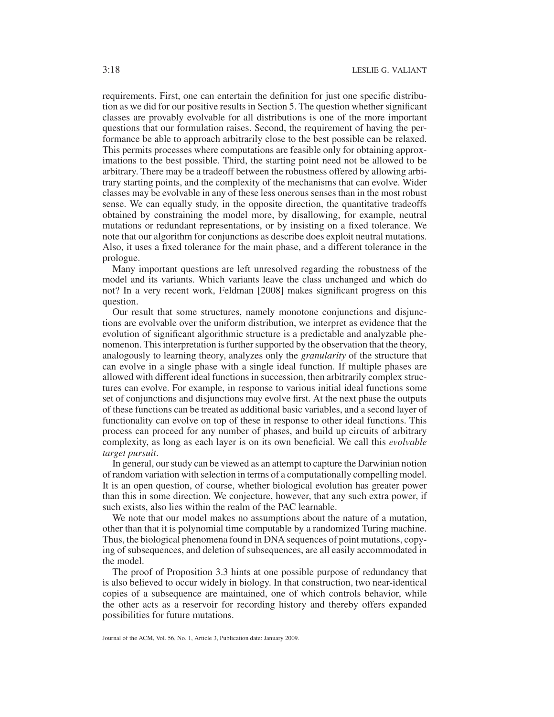requirements. First, one can entertain the definition for just one specific distribution as we did for our positive results in Section 5. The question whether significant classes are provably evolvable for all distributions is one of the more important questions that our formulation raises. Second, the requirement of having the performance be able to approach arbitrarily close to the best possible can be relaxed. This permits processes where computations are feasible only for obtaining approximations to the best possible. Third, the starting point need not be allowed to be arbitrary. There may be a tradeoff between the robustness offered by allowing arbitrary starting points, and the complexity of the mechanisms that can evolve. Wider classes may be evolvable in any of these less onerous senses than in the most robust sense. We can equally study, in the opposite direction, the quantitative tradeoffs obtained by constraining the model more, by disallowing, for example, neutral mutations or redundant representations, or by insisting on a fixed tolerance. We note that our algorithm for conjunctions as describe does exploit neutral mutations. Also, it uses a fixed tolerance for the main phase, and a different tolerance in the prologue.

Many important questions are left unresolved regarding the robustness of the model and its variants. Which variants leave the class unchanged and which do not? In a very recent work, Feldman [2008] makes significant progress on this question.

Our result that some structures, namely monotone conjunctions and disjunctions are evolvable over the uniform distribution, we interpret as evidence that the evolution of significant algorithmic structure is a predictable and analyzable phenomenon. This interpretation is further supported by the observation that the theory, analogously to learning theory, analyzes only the *granularity* of the structure that can evolve in a single phase with a single ideal function. If multiple phases are allowed with different ideal functions in succession, then arbitrarily complex structures can evolve. For example, in response to various initial ideal functions some set of conjunctions and disjunctions may evolve first. At the next phase the outputs of these functions can be treated as additional basic variables, and a second layer of functionality can evolve on top of these in response to other ideal functions. This process can proceed for any number of phases, and build up circuits of arbitrary complexity, as long as each layer is on its own beneficial. We call this *evolvable target pursuit*.

In general, our study can be viewed as an attempt to capture the Darwinian notion of random variation with selection in terms of a computationally compelling model. It is an open question, of course, whether biological evolution has greater power than this in some direction. We conjecture, however, that any such extra power, if such exists, also lies within the realm of the PAC learnable.

We note that our model makes no assumptions about the nature of a mutation, other than that it is polynomial time computable by a randomized Turing machine. Thus, the biological phenomena found in DNA sequences of point mutations, copying of subsequences, and deletion of subsequences, are all easily accommodated in the model.

The proof of Proposition 3.3 hints at one possible purpose of redundancy that is also believed to occur widely in biology. In that construction, two near-identical copies of a subsequence are maintained, one of which controls behavior, while the other acts as a reservoir for recording history and thereby offers expanded possibilities for future mutations.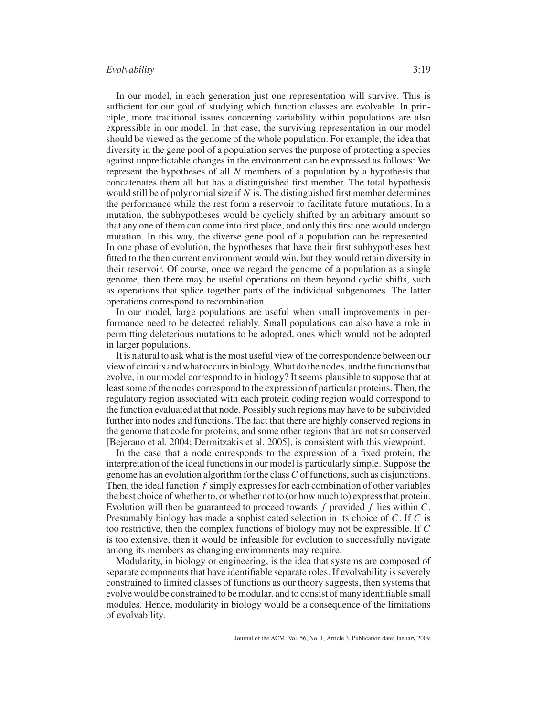In our model, in each generation just one representation will survive. This is sufficient for our goal of studying which function classes are evolvable. In principle, more traditional issues concerning variability within populations are also expressible in our model. In that case, the surviving representation in our model should be viewed as the genome of the whole population. For example, the idea that diversity in the gene pool of a population serves the purpose of protecting a species against unpredictable changes in the environment can be expressed as follows: We represent the hypotheses of all *N* members of a population by a hypothesis that concatenates them all but has a distinguished first member. The total hypothesis would still be of polynomial size if *N* is. The distinguished first member determines the performance while the rest form a reservoir to facilitate future mutations. In a mutation, the subhypotheses would be cyclicly shifted by an arbitrary amount so that any one of them can come into first place, and only this first one would undergo mutation. In this way, the diverse gene pool of a population can be represented. In one phase of evolution, the hypotheses that have their first subhypotheses best fitted to the then current environment would win, but they would retain diversity in their reservoir. Of course, once we regard the genome of a population as a single genome, then there may be useful operations on them beyond cyclic shifts, such as operations that splice together parts of the individual subgenomes. The latter operations correspond to recombination.

In our model, large populations are useful when small improvements in performance need to be detected reliably. Small populations can also have a role in permitting deleterious mutations to be adopted, ones which would not be adopted in larger populations.

It is natural to ask what is the most useful view of the correspondence between our view of circuits and what occurs in biology. What do the nodes, and the functions that evolve, in our model correspond to in biology? It seems plausible to suppose that at least some of the nodes correspond to the expression of particular proteins. Then, the regulatory region associated with each protein coding region would correspond to the function evaluated at that node. Possibly such regions may have to be subdivided further into nodes and functions. The fact that there are highly conserved regions in the genome that code for proteins, and some other regions that are not so conserved [Bejerano et al. 2004; Dermitzakis et al. 2005], is consistent with this viewpoint.

In the case that a node corresponds to the expression of a fixed protein, the interpretation of the ideal functions in our model is particularly simple. Suppose the genome has an evolution algorithm for the class*C* of functions, such as disjunctions. Then, the ideal function *f* simply expresses for each combination of other variables the best choice of whether to, or whether not to (or how much to) express that protein. Evolution will then be guaranteed to proceed towards *f* provided *f* lies within *C*. Presumably biology has made a sophisticated selection in its choice of *C*. If *C* is too restrictive, then the complex functions of biology may not be expressible. If *C* is too extensive, then it would be infeasible for evolution to successfully navigate among its members as changing environments may require.

Modularity, in biology or engineering, is the idea that systems are composed of separate components that have identifiable separate roles. If evolvability is severely constrained to limited classes of functions as our theory suggests, then systems that evolve would be constrained to be modular, and to consist of many identifiable small modules. Hence, modularity in biology would be a consequence of the limitations of evolvability.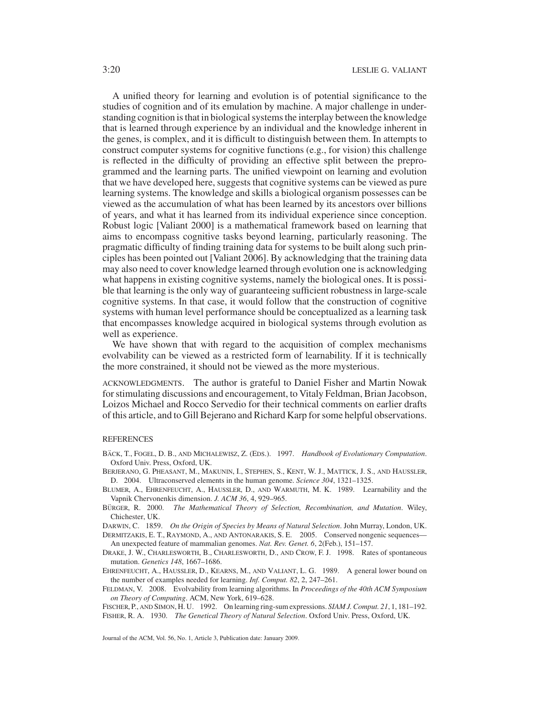A unified theory for learning and evolution is of potential significance to the studies of cognition and of its emulation by machine. A major challenge in understanding cognition is that in biological systems the interplay between the knowledge that is learned through experience by an individual and the knowledge inherent in the genes, is complex, and it is difficult to distinguish between them. In attempts to construct computer systems for cognitive functions (e.g., for vision) this challenge is reflected in the difficulty of providing an effective split between the preprogrammed and the learning parts. The unified viewpoint on learning and evolution that we have developed here, suggests that cognitive systems can be viewed as pure learning systems. The knowledge and skills a biological organism possesses can be viewed as the accumulation of what has been learned by its ancestors over billions of years, and what it has learned from its individual experience since conception. Robust logic [Valiant 2000] is a mathematical framework based on learning that aims to encompass cognitive tasks beyond learning, particularly reasoning. The pragmatic difficulty of finding training data for systems to be built along such principles has been pointed out [Valiant 2006]. By acknowledging that the training data may also need to cover knowledge learned through evolution one is acknowledging what happens in existing cognitive systems, namely the biological ones. It is possible that learning is the only way of guaranteeing sufficient robustness in large-scale cognitive systems. In that case, it would follow that the construction of cognitive systems with human level performance should be conceptualized as a learning task that encompasses knowledge acquired in biological systems through evolution as well as experience.

We have shown that with regard to the acquisition of complex mechanisms evolvability can be viewed as a restricted form of learnability. If it is technically the more constrained, it should not be viewed as the more mysterious.

ACKNOWLEDGMENTS. The author is grateful to Daniel Fisher and Martin Nowak for stimulating discussions and encouragement, to Vitaly Feldman, Brian Jacobson, Loizos Michael and Rocco Servedio for their technical comments on earlier drafts of this article, and to Gill Bejerano and Richard Karp for some helpful observations.

#### REFERENCES

- BÄCK, T., FOGEL, D. B., AND MICHALEWISZ, Z. (EDS.). 1997. *Handbook of Evolutionary Computation*. Oxford Univ. Press, Oxford, UK.
- BERJERANO, G. PHEASANT, M., MAKUNIN, I., STEPHEN, S., KENT, W. J., MATTICK, J. S., AND HAUSSLER, D. 2004. Ultraconserved elements in the human genome. *Science 304*, 1321–1325.
- BLUMER, A., EHRENFEUCHT, A., HAUSSLER, D., AND WARMUTH, M. K. 1989. Learnability and the Vapnik Chervonenkis dimension. *J. ACM 36*, 4, 929–965.
- BÜRGER, R. 2000. *The Mathematical Theory of Selection, Recombination, and Mutation*. Wiley, Chichester, UK.
- DARWIN, C. 1859. *On the Origin of Species by Means of Natural Selection*. John Murray, London, UK. DERMITZAKIS, E. T., RAYMOND, A., AND ANTONARAKIS, S. E. 2005. Conserved nongenic sequences—
	- An unexpected feature of mammalian genomes. *Nat. Rev. Genet. 6*, 2(Feb.), 151–157.
- DRAKE, J. W., CHARLESWORTH, B., CHARLESWORTH, D., AND CROW, F. J. 1998. Rates of spontaneous mutation. *Genetics 148*, 1667–1686.
- EHRENFEUCHT, A., HAUSSLER, D., KEARNS, M., AND VALIANT, L. G. 1989. A general lower bound on the number of examples needed for learning. *Inf. Comput. 82*, 2, 247–261.
- FELDMAN, V. 2008. Evolvability from learning algorithms. In *Proceedings of the 40th ACM Symposium on Theory of Computing*. ACM, New York, 619–628.
- FISCHER, P., AND SIMON, H. U. 1992. On learning ring-sum expressions. *SIAM J. Comput. 21*, 1, 181–192. FISHER, R. A. 1930. *The Genetical Theory of Natural Selection*. Oxford Univ. Press, Oxford, UK.